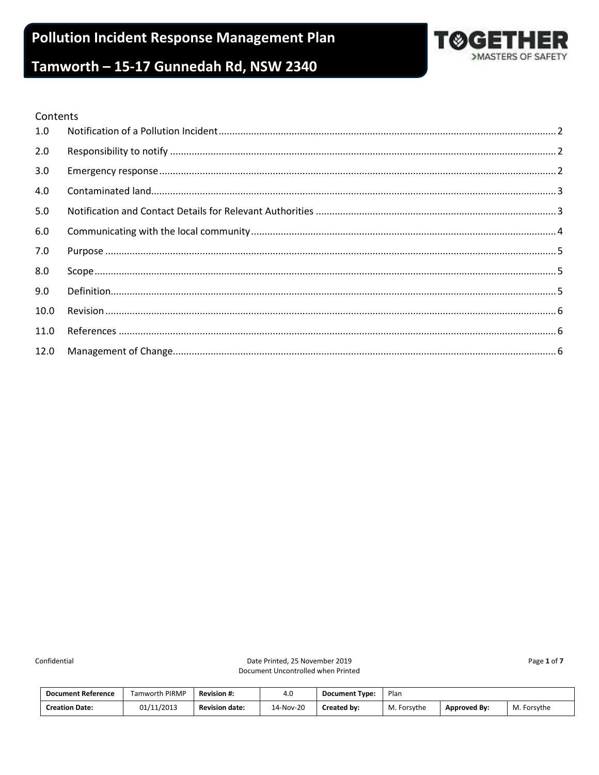

#### Contents

| 1.0  |  |
|------|--|
| 2.0  |  |
| 3.0  |  |
| 4.0  |  |
| 5.0  |  |
| 6.0  |  |
| 7.0  |  |
| 8.0  |  |
| 9.0  |  |
| 10.0 |  |
| 11.0 |  |
| 12.0 |  |

Confidential

Date Printed, 25 November 2019 Document Uncontrolled when Printed Page 1 of 7

| <b>Document Reference</b> | <b>Tamworth PIRMP</b> | <b>Revision #:</b>    | 4.0       | <b>Document Type:</b> | Plan        |                     |             |
|---------------------------|-----------------------|-----------------------|-----------|-----------------------|-------------|---------------------|-------------|
| <b>Creation Date:</b>     | 01/11/2013            | <b>Revision date:</b> | 14-Nov-20 | Created by:           | M. Forsythe | <b>Approved By:</b> | M. Forsythe |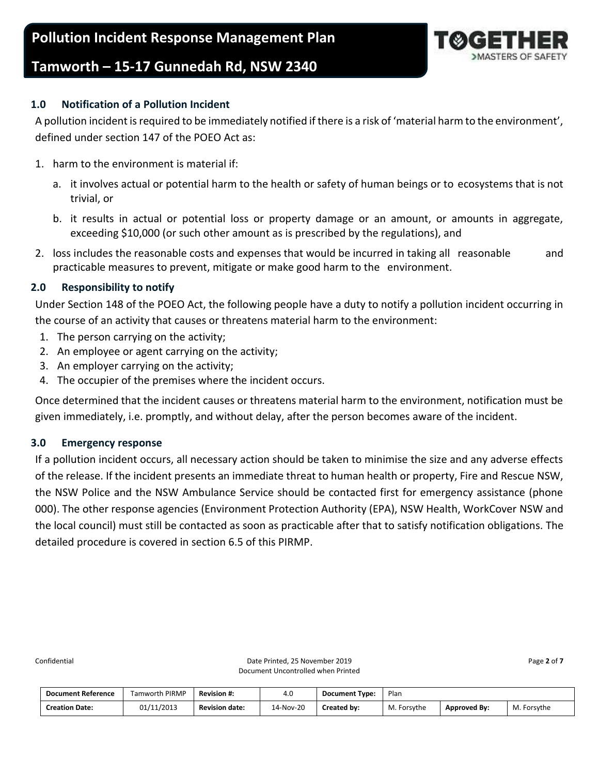

## <span id="page-1-0"></span>**1.0 Notification of a Pollution Incident**

A pollution incident is required to be immediately notified if there is a risk of 'material harm to the environment', defined under section 147 of the POEO Act as:

- 1. harm to the environment is material if:
	- a. it involves actual or potential harm to the health or safety of human beings or to ecosystems that is not trivial, or
	- b. it results in actual or potential loss or property damage or an amount, or amounts in aggregate, exceeding \$10,000 (or such other amount as is prescribed by the regulations), and
- 2. loss includes the reasonable costs and expenses that would be incurred in taking all reasonable and practicable measures to prevent, mitigate or make good harm to the environment.

## <span id="page-1-1"></span>**2.0 Responsibility to notify**

Under Section 148 of the POEO Act, the following people have a duty to notify a pollution incident occurring in the course of an activity that causes or threatens material harm to the environment:

- 1. The person carrying on the activity;
- 2. An employee or agent carrying on the activity;
- 3. An employer carrying on the activity;
- 4. The occupier of the premises where the incident occurs.

Once determined that the incident causes or threatens material harm to the environment, notification must be given immediately, i.e. promptly, and without delay, after the person becomes aware of the incident.

## <span id="page-1-2"></span>**3.0 Emergency response**

If a pollution incident occurs, all necessary action should be taken to minimise the size and any adverse effects of the release. If the incident presents an immediate threat to human health or property, Fire and Rescue NSW, the NSW Police and the NSW Ambulance Service should be contacted first for emergency assistance (phone 000). The other response agencies (Environment Protection Authority (EPA), NSW Health, WorkCover NSW and the local council) must still be contacted as soon as practicable after that to satisfy notification obligations. The detailed procedure is covered in section 6.5 of this PIRMP.

Confidential **Confidential** Page 2 of 7 Document Uncontrolled when Printed

| <b>Document Reference</b> | Tamworth PIRMP | <b>Revision #:</b>    | 4.0       | <b>Document Type:</b> | Plan        |                     |             |
|---------------------------|----------------|-----------------------|-----------|-----------------------|-------------|---------------------|-------------|
| <b>Creation Date:</b>     | 01/11/2013     | <b>Revision date:</b> | 14-Nov-20 | Created by:           | M. Forsythe | <b>Approved By:</b> | M. Forsythe |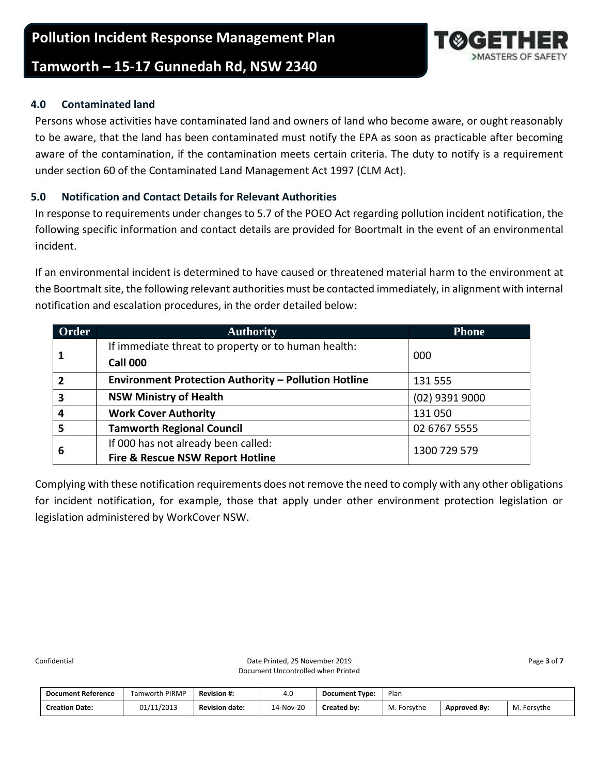## <span id="page-2-0"></span>**4.0 Contaminated land**

Persons whose activities have contaminated land and owners of land who become aware, or ought reasonably to be aware, that the land has been contaminated must notify the EPA as soon as practicable after becoming aware of the contamination, if the contamination meets certain criteria. The duty to notify is a requirement under section 60 of the Contaminated Land Management Act 1997 (CLM Act).

## <span id="page-2-1"></span>**5.0 Notification and Contact Details for Relevant Authorities**

In response to requirements under changes to 5.7 of the POEO Act regarding pollution incident notification, the following specific information and contact details are provided for Boortmalt in the event of an environmental incident.

If an environmental incident is determined to have caused or threatened material harm to the environment at the Boortmalt site, the following relevant authorities must be contacted immediately, in alignment with internal notification and escalation procedures, in the order detailed below:

| Order                   | <b>Authority</b>                                            | <b>Phone</b>   |
|-------------------------|-------------------------------------------------------------|----------------|
|                         | If immediate threat to property or to human health:         |                |
|                         | <b>Call 000</b>                                             | 000            |
| $\overline{2}$          | <b>Environment Protection Authority - Pollution Hotline</b> | 131 555        |
| $\overline{\mathbf{3}}$ | <b>NSW Ministry of Health</b>                               | (02) 9391 9000 |
| $\overline{a}$          | <b>Work Cover Authority</b>                                 | 131050         |
| 5                       | <b>Tamworth Regional Council</b>                            | 02 6767 5555   |
|                         | If 000 has not already been called:                         | 1300 729 579   |
| 6                       | <b>Fire &amp; Rescue NSW Report Hotline</b>                 |                |

Complying with these notification requirements does not remove the need to comply with any other obligations for incident notification, for example, those that apply under other environment protection legislation or legislation administered by WorkCover NSW.

| <b>Document Reference</b> | <b>Tamworth PIRMP</b> | <b>Revision #:</b>    | 4.U       | <b>Document Type:</b> | Plan        |                     |             |
|---------------------------|-----------------------|-----------------------|-----------|-----------------------|-------------|---------------------|-------------|
| <b>Creation Date:</b>     | 01/11/2013            | <b>Revision date:</b> | 14-Nov-20 | Created by:           | M. Forsythe | <b>Approved By:</b> | M. Forsythe |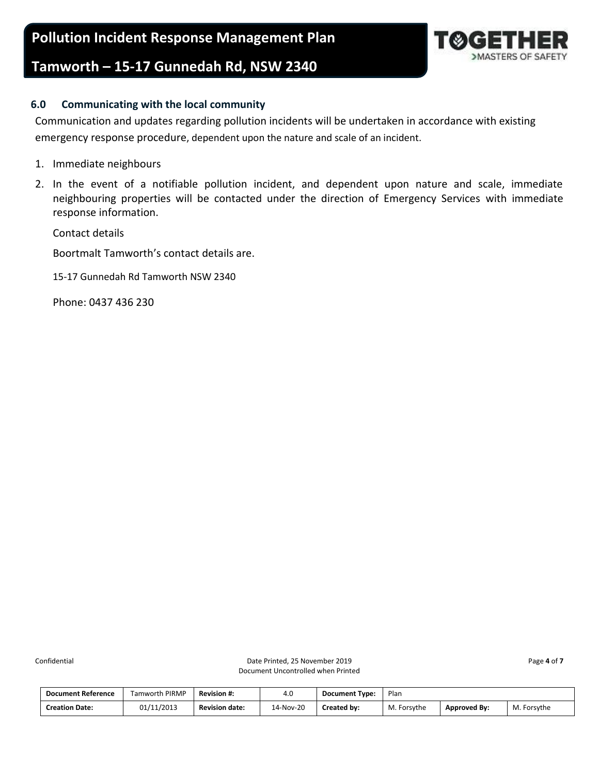## <span id="page-3-0"></span>**6.0 Communicating with the local community**

Communication and updates regarding pollution incidents will be undertaken in accordance with existing emergency response procedure, dependent upon the nature and scale of an incident.

- 1. Immediate neighbours
- 2. In the event of a notifiable pollution incident, and dependent upon nature and scale, immediate neighbouring properties will be contacted under the direction of Emergency Services with immediate response information.

Contact details

Boortmalt Tamworth's contact details are.

15-17 Gunnedah Rd Tamworth NSW 2340

Phone: 0437 436 230

| <b>Document Reference</b> | <b>Famworth PIRMP</b> | <b>Revision #:</b>    | 4.0       | <b>Document Type:</b> | Plan        |                     |                  |
|---------------------------|-----------------------|-----------------------|-----------|-----------------------|-------------|---------------------|------------------|
| <b>Creation Date:</b>     | 01/11/2013            | <b>Revision date:</b> | 14-Nov-20 | Created by:           | M. Forsythe | <b>Approved By:</b> | М.<br>. Forsvthe |

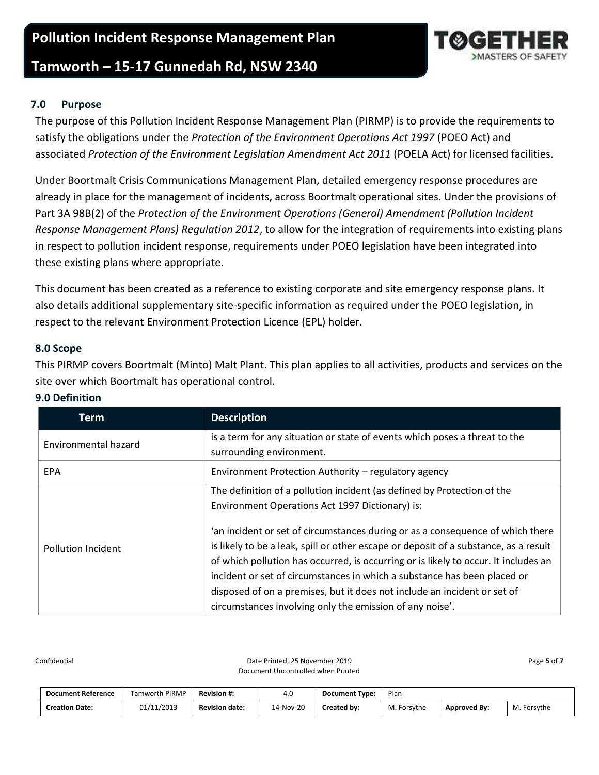## **Pollution Incident Response Management Plan**

## **Tamworth – 15-17 Gunnedah Rd, NSW 2340**

## <span id="page-4-0"></span>**7.0 Purpose**

The purpose of this Pollution Incident Response Management Plan (PIRMP) is to provide the requirements to satisfy the obligations under the *Protection of the Environment Operations Act 1997* (POEO Act) and associated *Protection of the Environment Legislation Amendment Act 2011* (POELA Act) for licensed facilities.

Under Boortmalt Crisis Communications Management Plan, detailed emergency response procedures are already in place for the management of incidents, across Boortmalt operational sites. Under the provisions of Part 3A 98B(2) of the *Protection of the Environment Operations (General) Amendment (Pollution Incident Response Management Plans) Regulation 2012*, to allow for the integration of requirements into existing plans in respect to pollution incident response, requirements under POEO legislation have been integrated into these existing plans where appropriate.

This document has been created as a reference to existing corporate and site emergency response plans. It also details additional supplementary site-specific information as required under the POEO legislation, in respect to the relevant Environment Protection Licence (EPL) holder.

#### <span id="page-4-1"></span>**8.0 Scope**

This PIRMP covers Boortmalt (Minto) Malt Plant. This plan applies to all activities, products and services on the site over which Boortmalt has operational control.

| Term                      | <b>Description</b>                                                                   |
|---------------------------|--------------------------------------------------------------------------------------|
| Environmental hazard      | is a term for any situation or state of events which poses a threat to the           |
|                           | surrounding environment.                                                             |
| <b>EPA</b>                | Environment Protection Authority - regulatory agency                                 |
|                           | The definition of a pollution incident (as defined by Protection of the              |
|                           | Environment Operations Act 1997 Dictionary) is:                                      |
|                           | 'an incident or set of circumstances during or as a consequence of which there       |
| <b>Pollution Incident</b> | is likely to be a leak, spill or other escape or deposit of a substance, as a result |
|                           | of which pollution has occurred, is occurring or is likely to occur. It includes an  |
|                           | incident or set of circumstances in which a substance has been placed or             |
|                           | disposed of on a premises, but it does not include an incident or set of             |
|                           | circumstances involving only the emission of any noise'.                             |

## <span id="page-4-2"></span>**9.0 Definition**

Confidential **Confidential** Page 5 of 7 Date Printed, 25 November 2019 **Page 5** of 7 Document Uncontrolled when Printed

| <b>Document Reference</b> | Tamworth PIRMP | <b>Revision #:</b>    | 4.0       | <b>Document Type:</b> | Plan        |                     |             |
|---------------------------|----------------|-----------------------|-----------|-----------------------|-------------|---------------------|-------------|
| <b>Creation Date:</b>     | 01/11/2013     | <b>Revision date:</b> | 14-Nov-20 | Created by:           | M. Forsythe | <b>Approved By:</b> | M. Forsythe |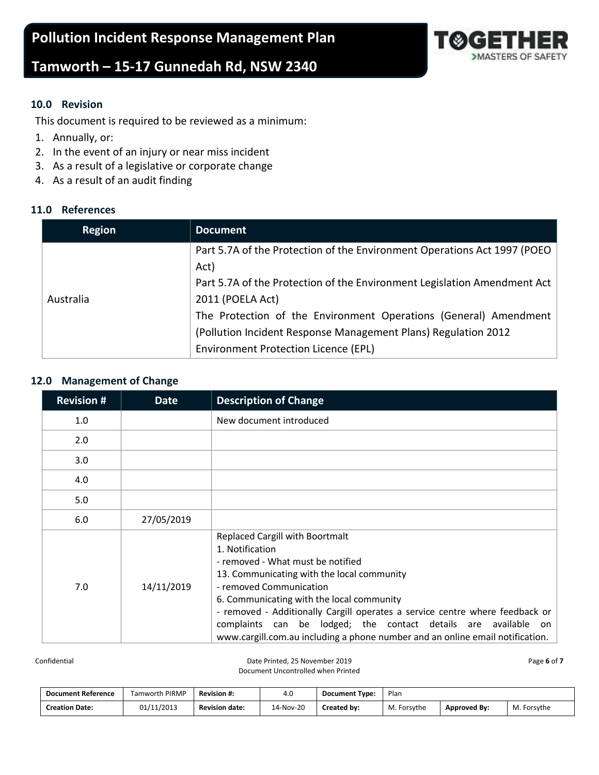

## <span id="page-5-0"></span>**10.0 Revision**

This document is required to be reviewed as a minimum:

- 1. Annually, or:
- 2. In the event of an injury or near miss incident
- 3. As a result of a legislative or corporate change
- 4. As a result of an audit finding

## <span id="page-5-1"></span>**11.0 References**

| <b>Region</b> | <b>Document</b>                                                          |
|---------------|--------------------------------------------------------------------------|
|               | Part 5.7A of the Protection of the Environment Operations Act 1997 (POEO |
|               | Act)                                                                     |
|               | Part 5.7A of the Protection of the Environment Legislation Amendment Act |
| Australia     | 2011 (POELA Act)                                                         |
|               | The Protection of the Environment Operations (General) Amendment         |
|               | (Pollution Incident Response Management Plans) Regulation 2012           |
|               | Environment Protection Licence (EPL)                                     |

#### <span id="page-5-2"></span>**12.0 Management of Change**

| <b>Revision #</b> | <b>Date</b> | <b>Description of Change</b>                                                                                                                                                                                                                                                                                                                                                                                                                            |
|-------------------|-------------|---------------------------------------------------------------------------------------------------------------------------------------------------------------------------------------------------------------------------------------------------------------------------------------------------------------------------------------------------------------------------------------------------------------------------------------------------------|
| 1.0               |             | New document introduced                                                                                                                                                                                                                                                                                                                                                                                                                                 |
| 2.0               |             |                                                                                                                                                                                                                                                                                                                                                                                                                                                         |
| 3.0               |             |                                                                                                                                                                                                                                                                                                                                                                                                                                                         |
| 4.0               |             |                                                                                                                                                                                                                                                                                                                                                                                                                                                         |
| 5.0               |             |                                                                                                                                                                                                                                                                                                                                                                                                                                                         |
| 6.0               | 27/05/2019  |                                                                                                                                                                                                                                                                                                                                                                                                                                                         |
| 7.0               | 14/11/2019  | <b>Replaced Cargill with Boortmalt</b><br>1. Notification<br>- removed - What must be notified<br>13. Communicating with the local community<br>- removed Communication<br>6. Communicating with the local community<br>- removed - Additionally Cargill operates a service centre where feedback or<br>complaints can be lodged; the contact details are available on<br>www.cargill.com.au including a phone number and an online email notification. |

Confidential **Confidential** Page 6 of 7 November 2019 **Page 6** of 7 Document Uncontrolled when Printed

| <b>Document Reference</b> | <b>Famworth PIRMP</b> | <b>Revision #:</b>    | 4.0       | <b>Document Type:</b> | Plan        |                     |             |
|---------------------------|-----------------------|-----------------------|-----------|-----------------------|-------------|---------------------|-------------|
| <b>Creation Date:</b>     | 01/11/2013            | <b>Revision date:</b> | 14-Nov-20 | Created by:           | M. Forsythe | <b>Approved By:</b> | M. Forsythe |